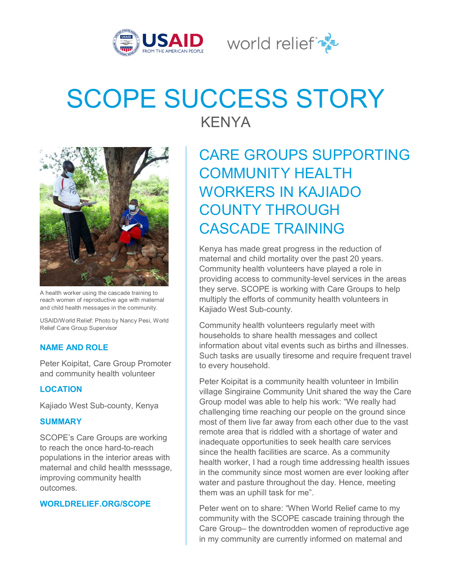

World relief  $\mathbb{R}^{\mathbb{N}}$ 

# SCOPE SUCCESS STORY



A health worker using the cascade training to reach women of reproductive age with maternal and child health messages in the community.

USAID/World Relief: Photo by Nancy Pesi, World Relief Care Group Supervisor

# **NAME AND ROLE**

Peter Koipitat, Care Group Promoter and community health volunteer

### **LOCATION**

Kajiado West Sub-county, Kenya

#### **SUMMARY**

SCOPE's Care Groups are working to reach the once hard-to-reach populations in the interior areas with maternal and child health messsage, improving community health outcomes.

#### **WORLDRELIEF.ORG/SCOPE**

KENYA

# CARE GROUPS SUPPORTING COMMUNITY HEALTH WORKERS IN KAJIADO COUNTY THROUGH CASCADE TRAINING

Kenya has made great progress in the reduction of maternal and child mortality over the past 20 years. Community health volunteers have played a role in providing access to community-level services in the areas they serve. SCOPE is working with Care Groups to help multiply the efforts of community health volunteers in Kajiado West Sub-county.

Community health volunteers regularly meet with households to share health messages and collect information about vital events such as births and illnesses. Such tasks are usually tiresome and require frequent travel to every household.

Peter Koipitat is a community health volunteer in Imbilin village Singiraine Community Unit shared the way the Care Group model was able to help his work: "We really had challenging time reaching our people on the ground since most of them live far away from each other due to the vast remote area that is riddled with a shortage of water and inadequate opportunities to seek health care services since the health facilities are scarce. As a community health worker, I had a rough time addressing health issues in the community since most women are ever looking after water and pasture throughout the day. Hence, meeting them was an uphill task for me".

Peter went on to share: "When World Relief came to my community with the SCOPE cascade training through the Care Group– the downtrodden women of reproductive age in my community are currently informed on maternal and